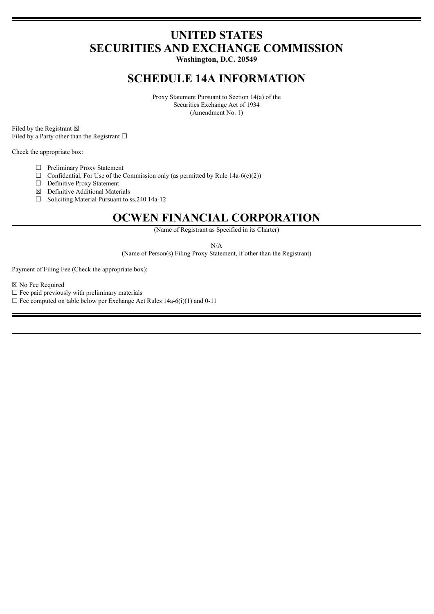# **UNITED STATES SECURITIES AND EXCHANGE COMMISSION**

**Washington, D.C. 20549**

## **SCHEDULE 14A INFORMATION**

Proxy Statement Pursuant to Section 14(a) of the Securities Exchange Act of 1934 (Amendment No. 1)

Filed by the Registrant  $\boxtimes$ Filed by a Party other than the Registrant  $□$ 

Check the appropriate box:

☐ Preliminary Proxy Statement

 $\Box$  Confidential, For Use of the Commission only (as permitted by Rule 14a-6(e)(2))

- □ Definitive Proxy Statement
- ☒ Definitive Additional Materials
- ☐ Soliciting Material Pursuant to ss.240.14a-12

# **OCWEN FINANCIAL CORPORATION**

(Name of Registrant as Specified in its Charter)

N/A

(Name of Person(s) Filing Proxy Statement, if other than the Registrant)

Payment of Filing Fee (Check the appropriate box):

☒ No Fee Required

 $\Box$  Fee paid previously with preliminary materials

 $\Box$  Fee computed on table below per Exchange Act Rules 14a-6(i)(1) and 0-11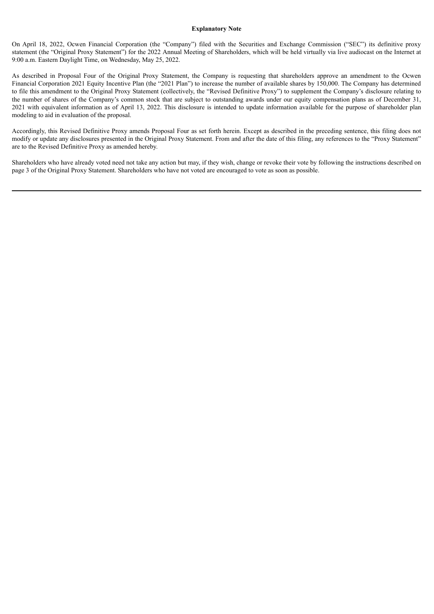#### **Explanatory Note**

On April 18, 2022, Ocwen Financial Corporation (the "Company") filed with the Securities and Exchange Commission ("SEC") its definitive proxy statement (the "Original Proxy Statement") for the 2022 Annual Meeting of Shareholders, which will be held virtually via live audiocast on the Internet at 9:00 a.m. Eastern Daylight Time, on Wednesday, May 25, 2022.

As described in Proposal Four of the Original Proxy Statement, the Company is requesting that shareholders approve an amendment to the Ocwen Financial Corporation 2021 Equity Incentive Plan (the "2021 Plan") to increase the number of available shares by 150,000. The Company has determined to file this amendment to the Original Proxy Statement (collectively, the "Revised Definitive Proxy") to supplement the Company's disclosure relating to the number of shares of the Company's common stock that are subject to outstanding awards under our equity compensation plans as of December 31, 2021 with equivalent information as of April 13, 2022. This disclosure is intended to update information available for the purpose of shareholder plan modeling to aid in evaluation of the proposal.

Accordingly, this Revised Definitive Proxy amends Proposal Four as set forth herein. Except as described in the preceding sentence, this filing does not modify or update any disclosures presented in the Original Proxy Statement. From and after the date of this filing, any references to the "Proxy Statement" are to the Revised Definitive Proxy as amended hereby.

Shareholders who have already voted need not take any action but may, if they wish, change or revoke their vote by following the instructions described on page 3 of the Original Proxy Statement. Shareholders who have not voted are encouraged to vote as soon as possible.